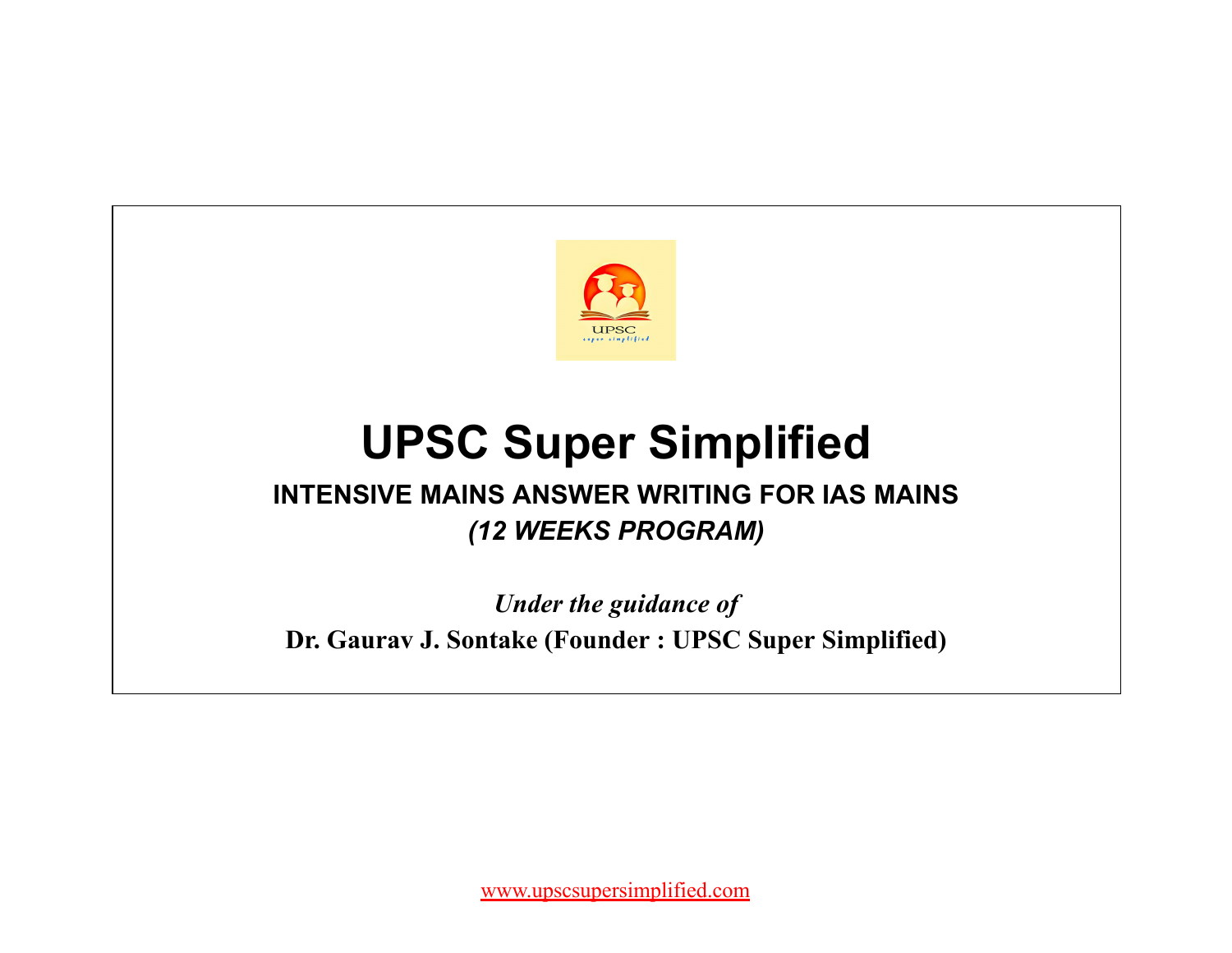

# **UPSC Super Simplified**

## **INTENSIVE MAINS ANSWER WRITING FOR IAS MAINS** *(12 WEEKS PROGRAM)*

*Under the guidance of* **Dr. Gaurav J. Sontake (Founder : UPSC Super Simplified)**

[www.upscsupersimplified.com](http://www.upscsupersimplified.com/)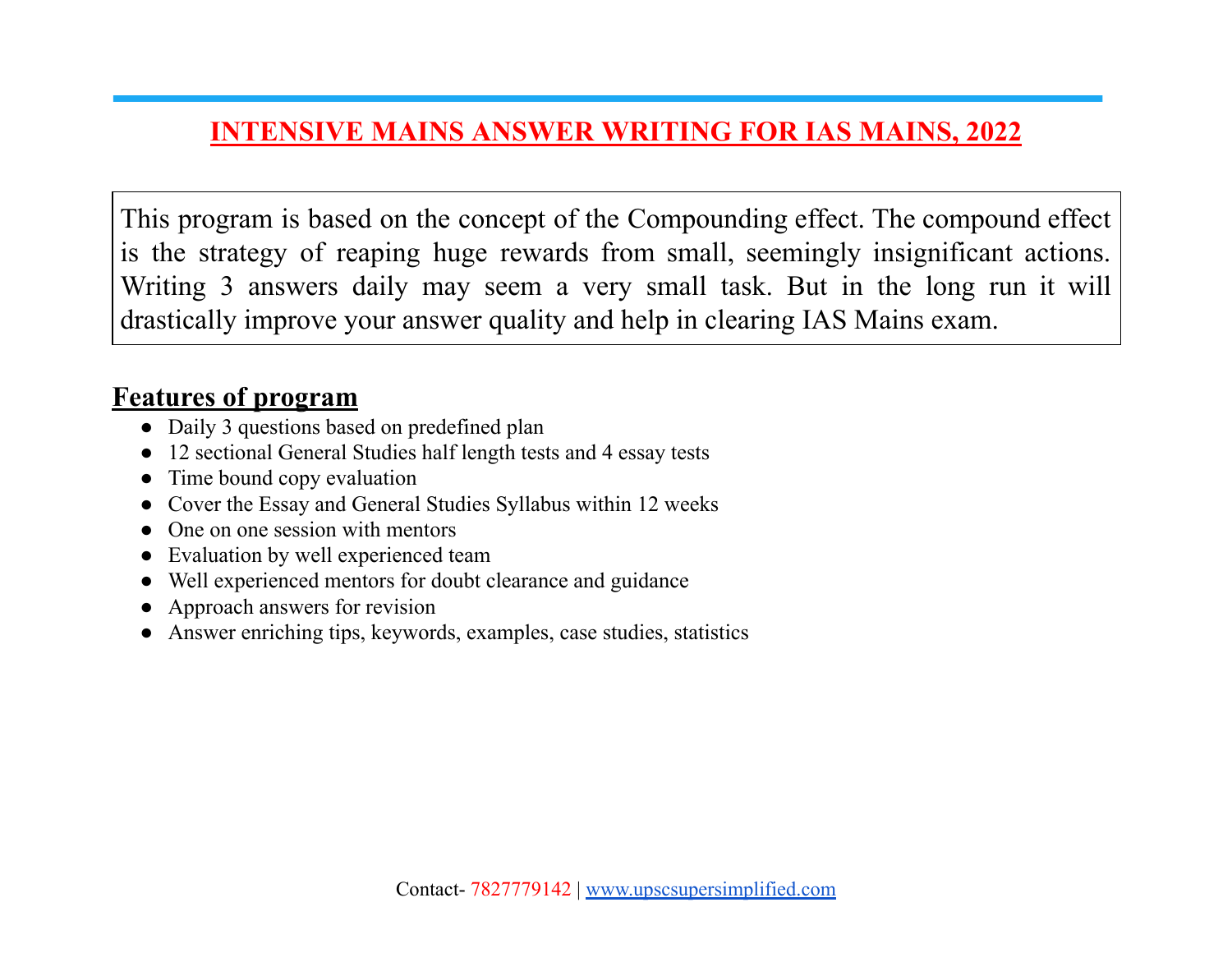### **INTENSIVE MAINS ANSWER WRITING FOR IAS MAINS, 2022**

This program is based on the concept of the Compounding effect. The compound effect is the strategy of reaping huge rewards from small, seemingly insignificant actions. Writing 3 answers daily may seem a very small task. But in the long run it will drastically improve your answer quality and help in clearing IAS Mains exam.

### **Features of program**

- Daily 3 questions based on predefined plan
- 12 sectional General Studies half length tests and 4 essay tests
- Time bound copy evaluation
- Cover the Essay and General Studies Syllabus within 12 weeks
- One on one session with mentors
- Evaluation by well experienced team
- Well experienced mentors for doubt clearance and guidance
- Approach answers for revision
- Answer enriching tips, keywords, examples, case studies, statistics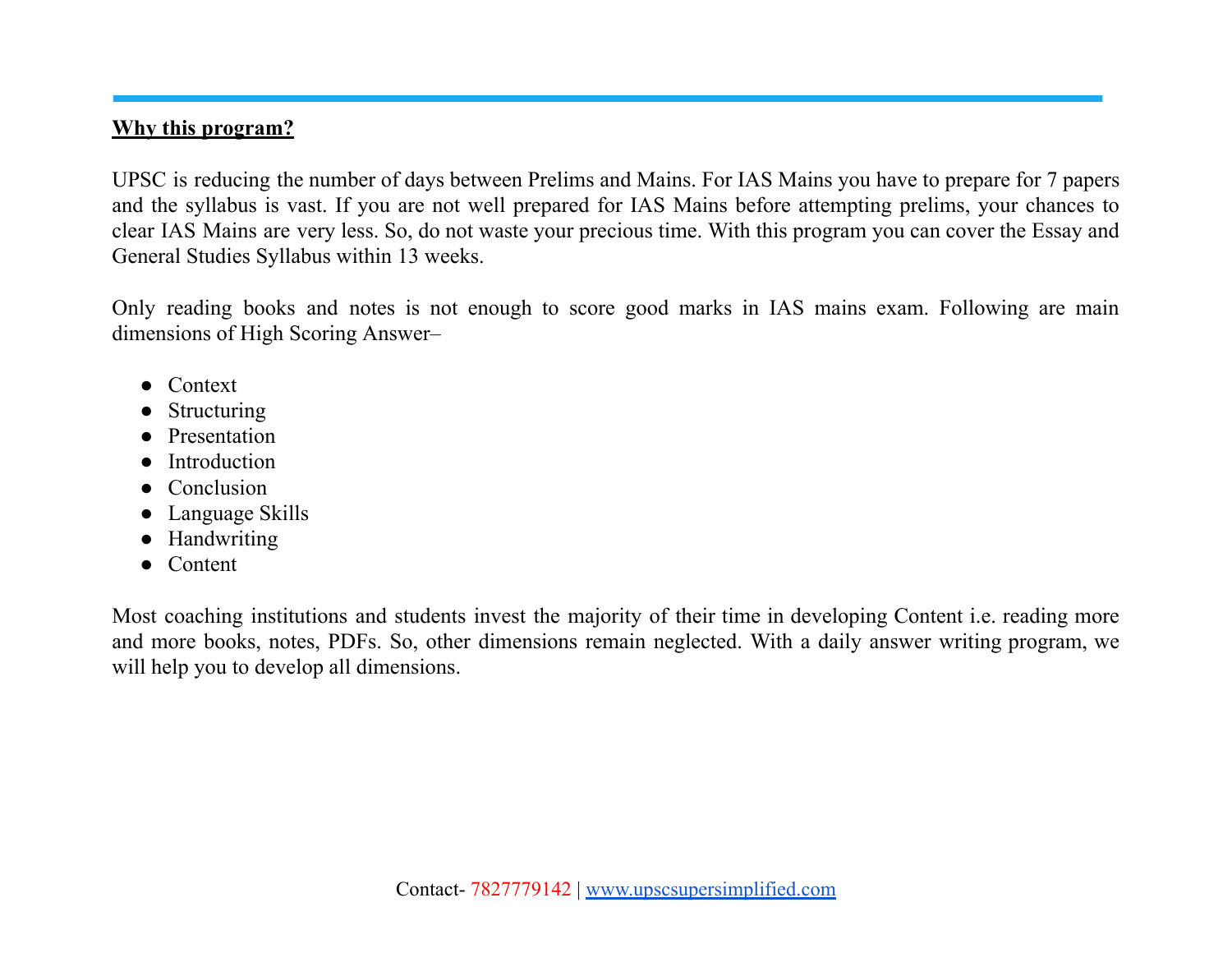#### **Why this program?**

UPSC is reducing the number of days between Prelims and Mains. For IAS Mains you have to prepare for 7 papers and the syllabus is vast. If you are not well prepared for IAS Mains before attempting prelims, your chances to clear IAS Mains are very less. So, do not waste your precious time. With this program you can cover the Essay and General Studies Syllabus within 13 weeks.

Only reading books and notes is not enough to score good marks in IAS mains exam. Following are main dimensions of High Scoring Answer–

- Context
- **Structuring**
- Presentation
- **Introduction**
- Conclusion
- Language Skills
- Handwriting
- Content

Most coaching institutions and students invest the majority of their time in developing Content i.e. reading more and more books, notes, PDFs. So, other dimensions remain neglected. With a daily answer writing program, we will help you to develop all dimensions.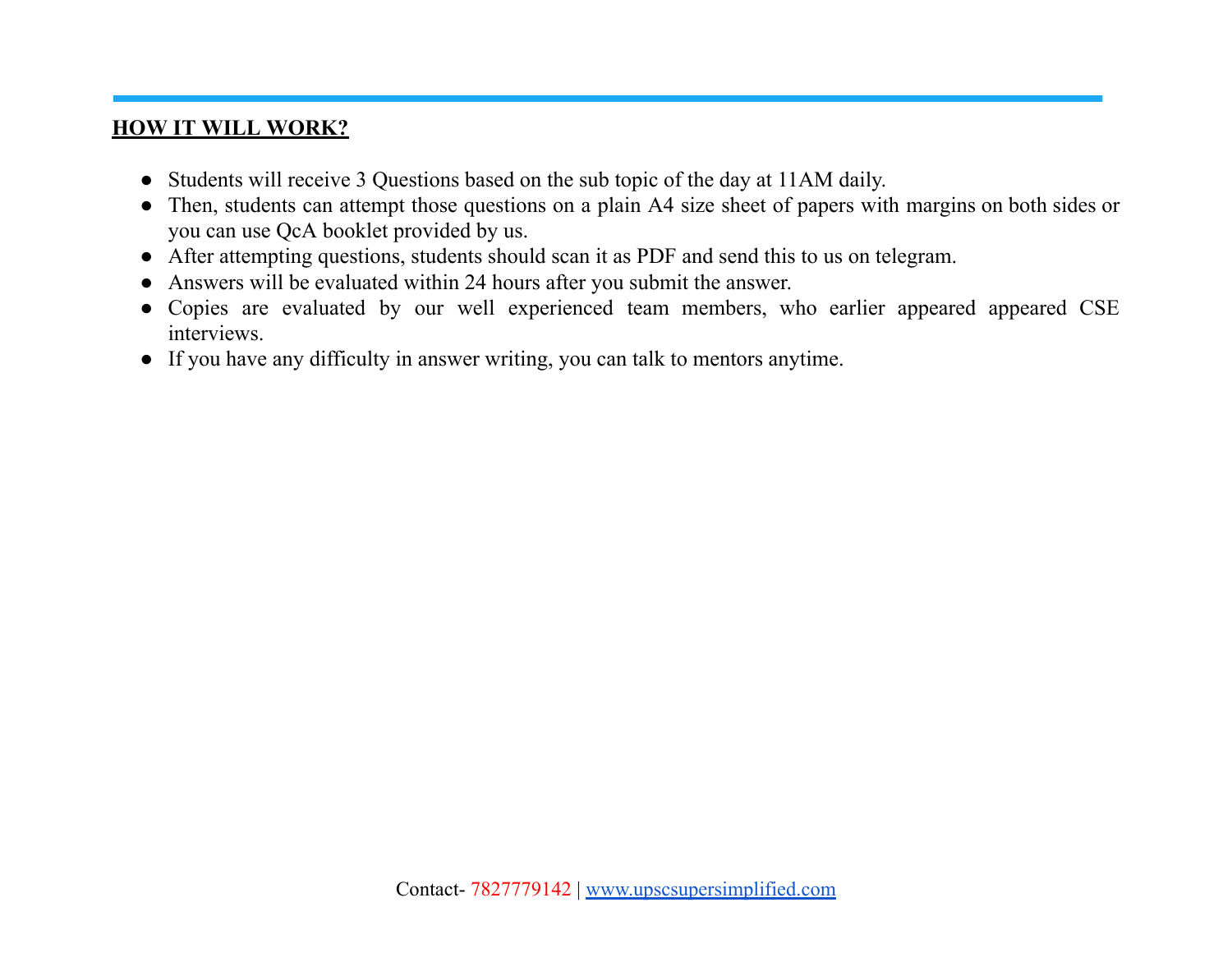#### **HOW IT WILL WORK?**

- Students will receive 3 Questions based on the sub topic of the day at 11AM daily.
- Then, students can attempt those questions on a plain A4 size sheet of papers with margins on both sides or you can use QcA booklet provided by us.
- After attempting questions, students should scan it as PDF and send this to us on telegram.
- Answers will be evaluated within 24 hours after you submit the answer.
- Copies are evaluated by our well experienced team members, who earlier appeared appeared CSE interviews.
- If you have any difficulty in answer writing, you can talk to mentors anytime.